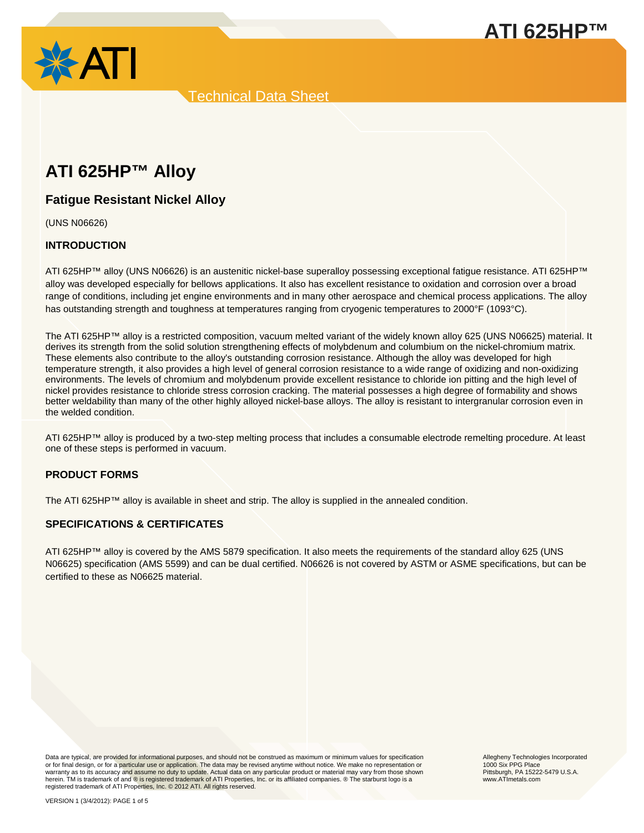



# **ATI 625HP™ Alloy**

# **Fatigue Resistant Nickel Alloy**

(UNS N06626)

# **INTRODUCTION**

ATI 625HP™ alloy (UNS N06626) is an austenitic nickel-base superalloy possessing exceptional fatigue resistance. ATI 625HP™ alloy was developed especially for bellows applications. It also has excellent resistance to oxidation and corrosion over a broad range of conditions, including jet engine environments and in many other aerospace and chemical process applications. The alloy has outstanding strength and toughness at temperatures ranging from cryogenic temperatures to 2000°F (1093°C).

The ATI 625HP™ alloy is a restricted composition, vacuum melted variant of the widely known alloy 625 (UNS N06625) material. It derives its strength from the solid solution strengthening effects of molybdenum and columbium on the nickel-chromium matrix. These elements also contribute to the alloy's outstanding corrosion resistance. Although the alloy was developed for high temperature strength, it also provides a high level of general corrosion resistance to a wide range of oxidizing and non-oxidizing environments. The levels of chromium and molybdenum provide excellent resistance to chloride ion pitting and the high level of nickel provides resistance to chloride stress corrosion cracking. The material possesses a high degree of formability and shows better weldability than many of the other highly alloyed nickel-base alloys. The alloy is resistant to intergranular corrosion even in the welded condition.

ATI 625HP™ alloy is produced by a two-step melting process that includes a consumable electrode remelting procedure. At least one of these steps is performed in vacuum.

# **PRODUCT FORMS**

The ATI 625HP™ alloy is available in sheet and strip. The alloy is supplied in the annealed condition.

# **SPECIFICATIONS & CERTIFICATES**

ATI 625HP™ alloy is covered by the AMS 5879 specification. It also meets the requirements of the standard alloy 625 (UNS N06625) specification (AMS 5599) and can be dual certified. N06626 is not covered by ASTM or ASME specifications, but can be certified to these as N06625 material.

Data are typical, are provided for informational purposes, and should not be construed as maximum or minimum values for specification<br>or for final design, or for a particular use or application. The data may be revised any warranty as to its accuracy and assume no duty to update. Actual data on any particular product or material may vary from those shown herein. TM is trademark of and ® is registered trademark of ATI Properties, Inc. or its affiliated companies. ® The starburst logo is a registered trademark of ATI Properties, Inc. © 2012 ATI. All rights reserved.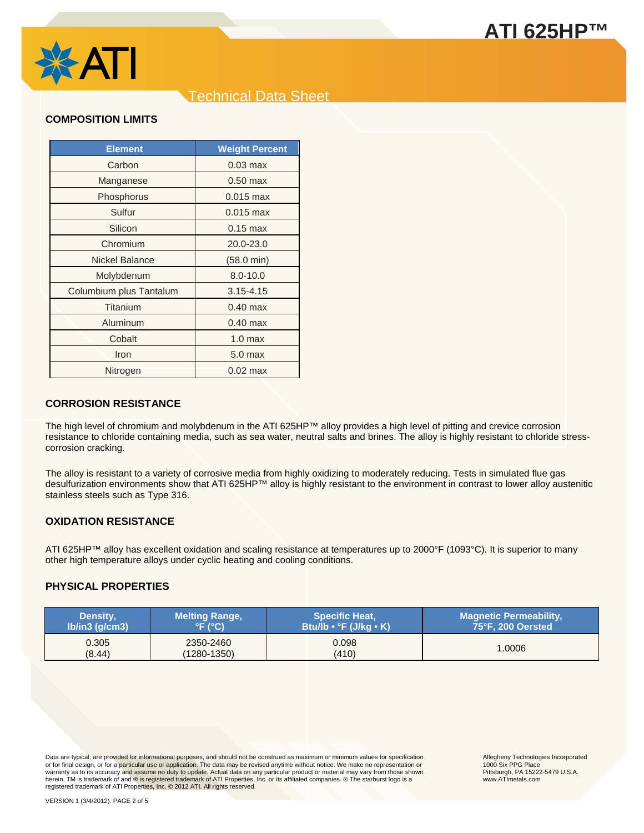

# **COMPOSITION LIMITS**

| <b>Element</b>          | <b>Weight Percent</b> |
|-------------------------|-----------------------|
| Carbon                  | $0.03$ max            |
| Manganese               | $0.50$ max            |
| Phosphorus              | $0.015$ max           |
| Sulfur                  | $0.015$ max           |
| Silicon                 | $0.15$ max            |
| Chromium                | 20.0-23.0             |
| Nickel Balance          | $(58.0 \text{ min})$  |
| Molybdenum              | $8.0 - 10.0$          |
| Columbium plus Tantalum | $3.15 - 4.15$         |
| Titanium                | $0.40$ max            |
| Aluminum                | $0.40$ max            |
| Cobalt                  | 1.0 <sub>max</sub>    |
| Iron                    | 5.0 <sub>max</sub>    |
| Nitrogen                | $0.02$ max            |

### **CORROSION RESISTANCE**

The high level of chromium and molybdenum in the ATI 625HP™ alloy provides a high level of pitting and crevice corrosion resistance to chloride containing media, such as sea water, neutral salts and brines. The alloy is highly resistant to chloride stresscorrosion cracking.

The alloy is resistant to a variety of corrosive media from highly oxidizing to moderately reducing. Tests in simulated flue gas desulfurization environments show that ATI 625HP™ alloy is highly resistant to the environment in contrast to lower alloy austenitic stainless steels such as Type 316.

# **OXIDATION RESISTANCE**

ATI 625HP™ alloy has excellent oxidation and scaling resistance at temperatures up to 2000°F (1093°C). It is superior to many other high temperature alloys under cyclic heating and cooling conditions.

# **PHYSICAL PROPERTIES**

| Density,             | <b>Melting Range,</b> | <b>Specific Heat,</b>    | <b>Magnetic Permeability,</b> |
|----------------------|-----------------------|--------------------------|-------------------------------|
| $Ib/in3$ ( $q/cm3$ ) | °F (°C)'              | 「Btu/lb • °F (J/kg • K)」 | 75°F, 200 Oersted             |
| 0.305                | 2350-2460             | 0.098                    | 1.0006                        |
| (8.44)               | $(1280 - 1350)$       | (410)                    |                               |

Data are typical, are provided for informational purposes, and should not be construed as maximum or minimum values for specification<br>or for final design, or for a particular use or application. The data may be revised any warranty as to its accuracy and assume no duty to update. Actual data on any particular product or material may vary from those shown herein. TM is trademark of and ® is registered trademark of ATI Properties, Inc. or its affiliated companies. ® The starburst logo is a<br>registered trademark of ATI Properties, Inc. © 2012 ATI. All rights reserved.

Allegheny Technologies Incorporated 1000 Six PPG Place Pittsburgh, PA 15222-5479 U.S.A. www.ATImetals.com

**ATI 625HP™**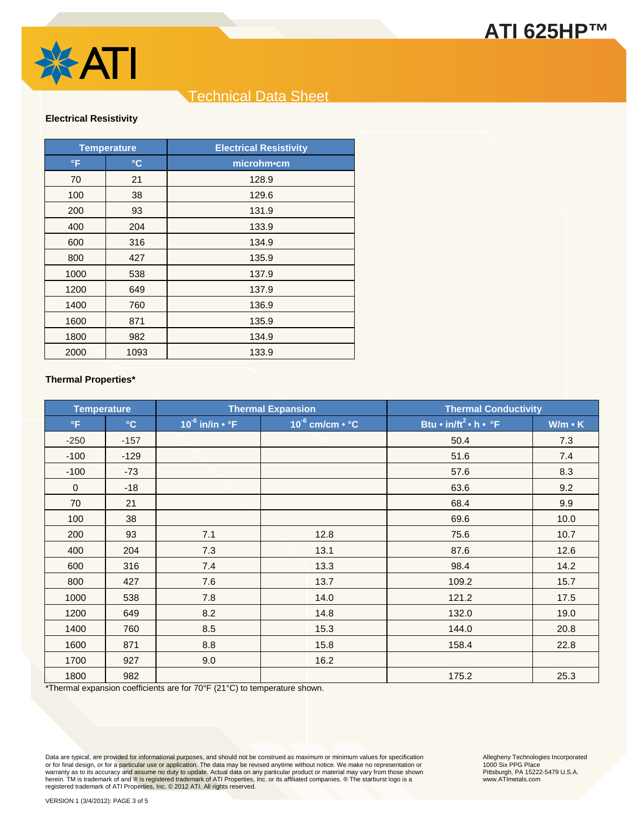



#### **Electrical Resistivity**

| <b>Temperature</b> |                 | <b>Electrical Resistivity</b> |
|--------------------|-----------------|-------------------------------|
| °F                 | $\rm ^{\circ}C$ | microhm•cm                    |
| 70                 | 21              | 128.9                         |
| 100                | 38              | 129.6                         |
| 200                | 93              | 131.9                         |
| 400                | 204             | 133.9                         |
| 600                | 316             | 134.9                         |
| 800                | 427             | 135.9                         |
| 1000               | 538             | 137.9                         |
| 1200               | 649             | 137.9                         |
| 1400               | 760             | 136.9                         |
| 1600               | 871             | 135.9                         |
| 1800               | 982             | 134.9                         |
| 2000               | 1093            | 133.9                         |

#### **Thermal Properties\***

| <b>Temperature</b> |              | <b>Thermal Expansion</b>   |                            | <b>Thermal Conductivity</b>             |               |
|--------------------|--------------|----------------------------|----------------------------|-----------------------------------------|---------------|
| $\mathsf{P}$       | $\mathbf{C}$ | $10^{-6}$ in/in $\cdot$ °F | $10^{-6}$ cm/cm $\cdot$ °C | Btu • $in/ft^2 \cdot h \cdot \degree F$ | $W/m \cdot K$ |
| $-250$             | $-157$       |                            |                            | 50.4                                    | 7.3           |
| $-100$             | $-129$       |                            |                            | 51.6                                    | 7.4           |
| $-100$             | $-73$        |                            |                            | 57.6                                    | 8.3           |
| $\mathbf{0}$       | $-18$        |                            |                            | 63.6                                    | 9.2           |
| 70                 | 21           |                            |                            | 68.4                                    | 9.9           |
| 100                | 38           |                            |                            | 69.6                                    | 10.0          |
| 200                | 93           | 7.1                        | 12.8                       | 75.6                                    | 10.7          |
| 400                | 204          | 7.3                        | 13.1                       | 87.6                                    | 12.6          |
| 600                | 316          | 7.4                        | 13.3                       | 98.4                                    | 14.2          |
| 800                | 427          | 7.6                        | 13.7                       | 109.2                                   | 15.7          |
| 1000               | 538          | 7.8                        | 14.0                       | 121.2                                   | 17.5          |
| 1200               | 649          | 8.2                        | 14.8                       | 132.0                                   | 19.0          |
| 1400               | 760          | 8.5                        | 15.3                       | 144.0                                   | 20.8          |
| 1600               | 871          | 8.8                        | 15.8                       | 158.4                                   | 22.8          |
| 1700               | 927          | 9.0                        | 16.2                       |                                         |               |
| 1800               | 982          |                            |                            | 175.2                                   | 25.3          |

\*Thermal expansion coefficients are for 70°F (21°C) to temperature shown.

Data are typical, are provided for informational purposes, and should not be construed as maximum or minimum values for specification<br>or for final design, or for a <mark>particular use or application. Th</mark>e data may be revised a herein. TM is trademark of and ® is registered trademark of ATI Properties, Inc. or its affiliated companies. ® The starburst logo is a<br>registered trademark of ATI Properties, Inc. © 2012 ATI. All rights reserved.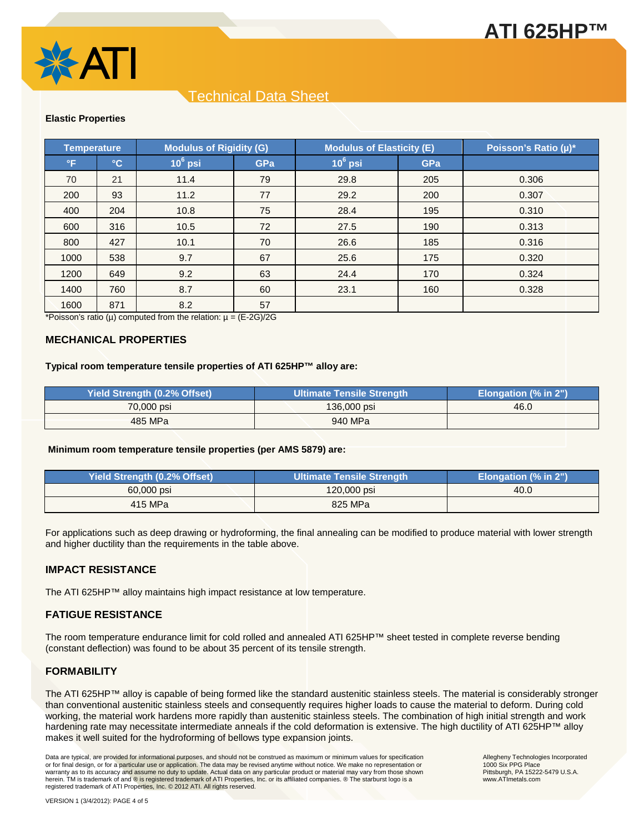



#### **Elastic Properties**

| Temperature |              | <b>Modulus of Rigidity (G)</b> |            | <b>Modulus of Elasticity (E)</b> |            | Poisson's Ratio (µ)* |
|-------------|--------------|--------------------------------|------------|----------------------------------|------------|----------------------|
| °F          | $^{\circ}$ C | $10^6$ psi                     | <b>GPa</b> | $10^6$ psi                       | <b>GPa</b> |                      |
| 70          | 21           | 11.4                           | 79         | 29.8                             | 205        | 0.306                |
| 200         | 93           | 11.2                           | 77         | 29.2                             | 200        | 0.307                |
| 400         | 204          | 10.8                           | 75         | 28.4                             | 195        | 0.310                |
| 600         | 316          | 10.5                           | 72         | 27.5                             | 190        | 0.313                |
| 800         | 427          | 10.1                           | 70         | 26.6                             | 185        | 0.316                |
| 1000        | 538          | 9.7                            | 67         | 25.6                             | 175        | 0.320                |
| 1200        | 649          | 9.2                            | 63         | 24.4                             | 170        | 0.324                |
| 1400        | 760          | 8.7                            | 60         | 23.1                             | 160        | 0.328                |
| 1600        | 871          | 8.2                            | 57         |                                  |            |                      |

\*Poisson's ratio ( $\mu$ ) computed from the relation:  $\mu = (E-2G)/2G$ 

#### **MECHANICAL PROPERTIES**

#### **Typical room temperature tensile properties of ATI 625HP™ alloy are:**

| <b>Yield Strength (0.2% Offset)</b> | <b>Ultimate Tensile Strength</b> | Elongation (% in 2") |
|-------------------------------------|----------------------------------|----------------------|
| 70,000 psi                          | $136,000$ psi                    | 46.0                 |
| 485 MPa                             | 940 MPa                          |                      |

#### **Minimum room temperature tensile properties (per AMS 5879) are:**

| <b>Yield Strength (0.2% Offset)</b> | <b>Ultimate Tensile Strength</b> | Elongation (% in 2") |
|-------------------------------------|----------------------------------|----------------------|
| 60,000 psi                          | 120,000 psi                      | 40.0                 |
| 415 MPa                             | 825 MPa                          |                      |

For applications such as deep drawing or hydroforming, the final annealing can be modified to produce material with lower strength and higher ductility than the requirements in the table above.

#### **IMPACT RESISTANCE**

The ATI 625HP™ alloy maintains high impact resistance at low temperature.

### **FATIGUE RESISTANCE**

The room temperature endurance limit for cold rolled and annealed ATI 625HP™ sheet tested in complete reverse bending (constant deflection) was found to be about 35 percent of its tensile strength.

# **FORMABILITY**

The ATI 625HP™ alloy is capable of being formed like the standard austenitic stainless steels. The material is considerably stronger than conventional austenitic stainless steels and consequently requires higher loads to cause the material to deform. During cold working, the material work hardens more rapidly than austenitic stainless steels. The combination of high initial strength and work hardening rate may necessitate intermediate anneals if the cold deformation is extensive. The high ductility of ATI 625HP™ alloy makes it well suited for the hydroforming of bellows type expansion joints.

Data are typical, are provided for informational purposes, and should not be construed as maximum or minimum values for specification<br>or for final design, or for a particular use or application. The data may be revised any warranty as to its accuracy and assume no duty to update. Actual data on any particular product or material may vary from those shown herein. TM is trademark of and ® is registered trademark of ATI Properties, Inc. or its affiliated companies. ® The starburst logo is a registered trademark of ATI Properties, Inc. © 2012 ATI. All rights reserved.